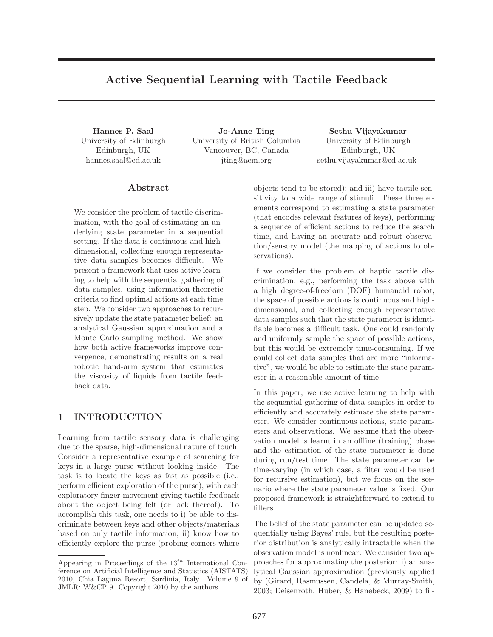# Active Sequential Learning with Tactile Feedback

University of Edinburgh Edinburgh, UK hannes.saal@ed.ac.uk

Hannes P. Saal Jo-Anne Ting Sethu Vijayakumar University of British Columbia Vancouver, BC, Canada jting@acm.org

University of Edinburgh Edinburgh, UK sethu.vijayakumar@ed.ac.uk

# Abstract

We consider the problem of tactile discrimination, with the goal of estimating an underlying state parameter in a sequential setting. If the data is continuous and highdimensional, collecting enough representative data samples becomes difficult. We present a framework that uses active learning to help with the sequential gathering of data samples, using information-theoretic criteria to find optimal actions at each time step. We consider two approaches to recursively update the state parameter belief: an analytical Gaussian approximation and a Monte Carlo sampling method. We show how both active frameworks improve convergence, demonstrating results on a real robotic hand-arm system that estimates the viscosity of liquids from tactile feedback data.

# 1 INTRODUCTION

Learning from tactile sensory data is challenging due to the sparse, high-dimensional nature of touch. Consider a representative example of searching for keys in a large purse without looking inside. The task is to locate the keys as fast as possible (i.e., perform efficient exploration of the purse), with each exploratory finger movement giving tactile feedback about the object being felt (or lack thereof). To accomplish this task, one needs to i) be able to discriminate between keys and other objects/materials based on only tactile information; ii) know how to efficiently explore the purse (probing corners where objects tend to be stored); and iii) have tactile sensitivity to a wide range of stimuli. These three elements correspond to estimating a state parameter (that encodes relevant features of keys), performing a sequence of efficient actions to reduce the search time, and having an accurate and robust observation/sensory model (the mapping of actions to observations).

If we consider the problem of haptic tactile discrimination, e.g., performing the task above with a high degree-of-freedom (DOF) humanoid robot, the space of possible actions is continuous and highdimensional, and collecting enough representative data samples such that the state parameter is identifiable becomes a difficult task. One could randomly and uniformly sample the space of possible actions, but this would be extremely time-consuming. If we could collect data samples that are more "informative", we would be able to estimate the state parameter in a reasonable amount of time.

In this paper, we use active learning to help with the sequential gathering of data samples in order to efficiently and accurately estimate the state parameter. We consider continuous actions, state parameters and observations. We assume that the observation model is learnt in an offline (training) phase and the estimation of the state parameter is done during run/test time. The state parameter can be time-varying (in which case, a filter would be used for recursive estimation), but we focus on the scenario where the state parameter value is fixed. Our proposed framework is straightforward to extend to filters.

The belief of the state parameter can be updated sequentially using Bayes' rule, but the resulting posterior distribution is analytically intractable when the observation model is nonlinear. We consider two approaches for approximating the posterior: i) an analytical Gaussian approximation (previously applied by (Girard, Rasmussen, Candela, & Murray-Smith, 2003; Deisenroth, Huber, & Hanebeck, 2009) to fil-

Appearing in Proceedings of the  $13^{th}$  International Conference on Artificial Intelligence and Statistics (AISTATS) 2010, Chia Laguna Resort, Sardinia, Italy. Volume 9 of JMLR: W&CP 9. Copyright 2010 by the authors.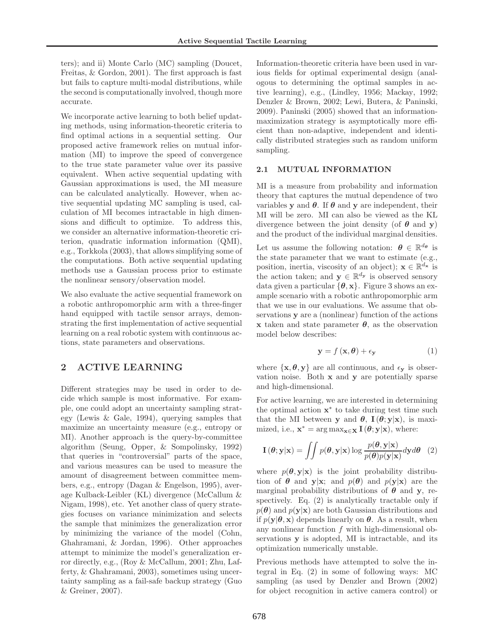ters); and ii) Monte Carlo (MC) sampling (Doucet, Freitas, & Gordon, 2001). The first approach is fast but fails to capture multi-modal distributions, while the second is computationally involved, though more accurate.

We incorporate active learning to both belief updating methods, using information-theoretic criteria to find optimal actions in a sequential setting. Our proposed active framework relies on mutual information (MI) to improve the speed of convergence to the true state parameter value over its passive equivalent. When active sequential updating with Gaussian approximations is used, the MI measure can be calculated analytically. However, when active sequential updating MC sampling is used, calculation of MI becomes intractable in high dimensions and difficult to optimize. To address this, we consider an alternative information-theoretic criterion, quadratic information information (QMI), e.g., Torkkola (2003), that allows simplifying some of the computations. Both active sequential updating methods use a Gaussian process prior to estimate the nonlinear sensory/observation model.

We also evaluate the active sequential framework on a robotic anthropomorphic arm with a three-finger hand equipped with tactile sensor arrays, demonstrating the first implementation of active sequential learning on a real robotic system with continuous actions, state parameters and observations.

# 2 ACTIVE LEARNING

Different strategies may be used in order to decide which sample is most informative. For example, one could adopt an uncertainty sampling strategy (Lewis & Gale, 1994), querying samples that maximize an uncertainty measure (e.g., entropy or MI). Another approach is the query-by-committee algorithm (Seung, Opper, & Sompolinsky, 1992) that queries in "controversial" parts of the space, and various measures can be used to measure the amount of disagreement between committee members, e.g., entropy (Dagan & Engelson, 1995), average Kulback-Leibler (KL) divergence (McCallum & Nigam, 1998), etc. Yet another class of query strategies focuses on variance minimization and selects the sample that minimizes the generalization error by minimizing the variance of the model (Cohn, Ghahramani, & Jordan, 1996). Other approaches attempt to minimize the model's generalization error directly, e.g., (Roy & McCallum, 2001; Zhu, Lafferty, & Ghahramani, 2003), sometimes using uncertainty sampling as a fail-safe backup strategy (Guo & Greiner, 2007).

Information-theoretic criteria have been used in various fields for optimal experimental design (analogous to determining the optimal samples in active learning), e.g., (Lindley, 1956; Mackay, 1992; Denzler & Brown, 2002; Lewi, Butera, & Paninski, 2009). Paninski (2005) showed that an informationmaximization strategy is asymptotically more efficient than non-adaptive, independent and identically distributed strategies such as random uniform sampling.

### 2.1 MUTUAL INFORMATION

MI is a measure from probability and information theory that captures the mutual dependence of two variables **y** and  $\theta$ . If  $\theta$  and **y** are independent, their MI will be zero. MI can also be viewed as the KL divergence between the joint density (of  $\theta$  and y) and the product of the individual marginal densities.

Let us assume the following notation:  $\boldsymbol{\theta} \in \mathbb{R}^{d_{\boldsymbol{\theta}}}$  is the state parameter that we want to estimate (e.g., position, inertia, viscosity of an object);  $\mathbf{x} \in \mathbb{R}^{d_{\mathbf{x}}}$  is the action taken; and  $y \in \mathbb{R}^{d_y}$  is observed sensory data given a particular  $\{\boldsymbol{\theta}, \mathbf{x}\}.$  Figure 3 shows an example scenario with a robotic anthropomorphic arm that we use in our evaluations. We assume that observations y are a (nonlinear) function of the actions x taken and state parameter  $\theta$ , as the observation model below describes:

$$
\mathbf{y} = f\left(\mathbf{x}, \boldsymbol{\theta}\right) + \epsilon_{\mathbf{y}}\tag{1}
$$

where  $\{x, \theta, y\}$  are all continuous, and  $\epsilon_y$  is observation noise. Both x and y are potentially sparse and high-dimensional.

For active learning, we are interested in determining the optimal action  $\mathbf{x}^*$  to take during test time such that the MI between y and  $\theta$ ,  $I(\theta; y|x)$ , is maximized, i.e.,  $\mathbf{x}^* = \arg \max_{\mathbf{x} \in \mathbf{X}} \mathbf{I}(\boldsymbol{\theta}; \mathbf{y} | \mathbf{x})$ , where:

$$
\mathbf{I}(\boldsymbol{\theta}; \mathbf{y}|\mathbf{x}) = \iint p(\boldsymbol{\theta}, \mathbf{y}|\mathbf{x}) \log \frac{p(\boldsymbol{\theta}, \mathbf{y}|\mathbf{x})}{p(\boldsymbol{\theta})p(\mathbf{y}|\mathbf{x})} d\mathbf{y} d\boldsymbol{\theta}
$$
 (2)

where  $p(\theta, y|x)$  is the joint probability distribution of  $\theta$  and  $y|x$ ; and  $p(\theta)$  and  $p(y|x)$  are the marginal probability distributions of  $\theta$  and y, respectively. Eq. (2) is analytically tractable only if  $p(\theta)$  and  $p(\mathbf{y}|\mathbf{x})$  are both Gaussian distributions and if  $p(\mathbf{y}|\boldsymbol{\theta}, \mathbf{x})$  depends linearly on  $\boldsymbol{\theta}$ . As a result, when any nonlinear function  $f$  with high-dimensional observations y is adopted, MI is intractable, and its optimization numerically unstable.

Previous methods have attempted to solve the integral in Eq. (2) in some of following ways: MC sampling (as used by Denzler and Brown (2002) for object recognition in active camera control) or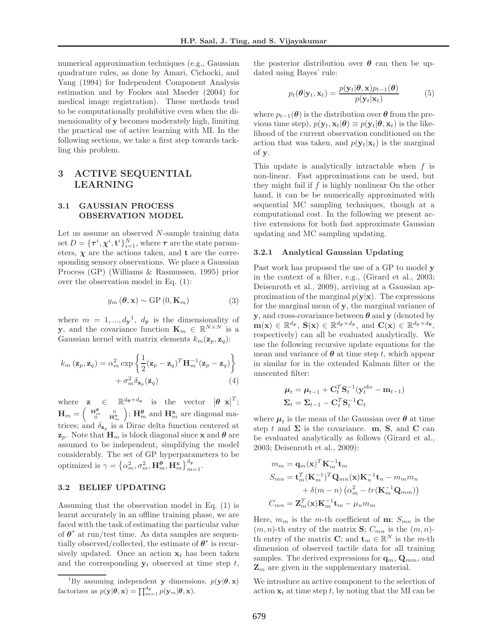numerical approximation techniques (e.g., Gaussian quadrature rules, as done by Amari, Cichocki, and Yang (1994) for Independent Component Analysis estimation and by Fookes and Maeder (2004) for medical image registration). These methods tend to be computationally prohibitive even when the dimensionality of y becomes moderately high, limiting the practical use of active learning with MI. In the following sections, we take a first step towards tackling this problem.

# 3 ACTIVE SEQUENTIAL LEARNING

### 3.1 GAUSSIAN PROCESS OBSERVATION MODEL

Let us assume an observed N-sample training data set  $D = {\{\tau^i, \chi^i, \mathbf{t}^i\}_{i=1}^N}$ , where  $\tau$  are the state parameters,  $\chi$  are the actions taken, and **t** are the corresponding sensory observations. We place a Gaussian Process (GP) (Williams & Rasmussen, 1995) prior over the observation model in Eq. (1):

$$
y_m\left(\boldsymbol{\theta}, \mathbf{x}\right) \sim \text{GP}\left(0, \mathbf{K}_m\right) \tag{3}
$$

where  $m = 1, ..., d_{\mathbf{y}}^{1}, d_{\mathbf{y}}$  is the dimensionality of **y**, and the covariance function  $\mathbf{K}_m \in \mathbb{R}^{N \times N}$  is a Gaussian kernel with matrix elements  $k_m(\mathbf{z}_p, \mathbf{z}_q)$ :

$$
k_m(\mathbf{z}_p, \mathbf{z}_q) = \alpha_m^2 \exp\left\{\frac{1}{2}(\mathbf{z}_p - \mathbf{z}_q)^T \mathbf{H}_m^{-1}(\mathbf{z}_p - \mathbf{z}_q)\right\} + \sigma_m^2 \delta_{\mathbf{z}_p}(\mathbf{z}_q)
$$
\n(4)

where  $\mathbf{z} \in \mathbb{R}^{d_{\theta}+d_{\mathbf{x}}}$  is the vector  $[\theta \ \mathbf{x}]^T$ ;  $\mathbf{H}_m = \begin{pmatrix} \mathbf{H}_m^{\theta} & 0 \\ 0 & \mathbf{H}_m^{\mathbf{x}} \end{pmatrix}$ ;  $\mathbf{H}_m^{\theta}$  and  $\mathbf{H}_m^{\mathbf{x}}$  are diagonal matrices; and  $\delta_{\mathbf{z}_p}$  is a Dirac delta function centered at  $z_p$ . Note that  $H_m$  is block diagonal since x and  $\theta$  are assumed to be independent, simplifying the model considerably. The set of GP hyperparameters to be optimized is  $\gamma = \left\{\alpha_m^2, \sigma_m^2, \mathbf{H}_m^{\theta}, \mathbf{H}_m^{\mathbf{x}}\right\}_{m=1}^{d_{\mathbf{y}}}.$ 

## 3.2 BELIEF UPDATING

Assuming that the observation model in Eq. (1) is learnt accurately in an offline training phase, we are faced with the task of estimating the particular value of  $\theta^*$  at run/test time. As data samples are sequentially observed/collected, the estimate of  $\boldsymbol{\theta}^*$  is recursively updated. Once an action  $x_t$  has been taken and the corresponding  $y_t$  observed at time step t, the posterior distribution over  $\theta$  can then be updated using Bayes' rule:

$$
p_t(\boldsymbol{\theta}|\mathbf{y}_t, \mathbf{x}_t) = \frac{p(\mathbf{y}_t|\boldsymbol{\theta}, \mathbf{x})p_{t-1}(\boldsymbol{\theta})}{p(\mathbf{y}_t|\mathbf{x}_t)}
$$
(5)

where  $p_{t-1}(\theta)$  is the distribution over  $\theta$  from the previous time step),  $p(\mathbf{y}_t, \mathbf{x}_t | \boldsymbol{\theta}) \equiv p(\mathbf{y}_t | \boldsymbol{\theta}, \mathbf{x}_t)$  is the likelihood of the current observation conditioned on the action that was taken, and  $p(\mathbf{y}_t|\mathbf{x}_t)$  is the marginal of y.

This update is analytically intractable when  $f$  is non-linear. Fast approximations can be used, but they might fail if  $f$  is highly nonlinear On the other hand, it can be be numerically approximated with sequential MC sampling techniques, though at a computational cost. In the following we present active extensions for both fast approximate Gaussian updating and MC sampling updating.

#### 3.2.1 Analytical Gaussian Updating

Past work has proposed the use of a GP to model y in the context of a filter, e.g., (Girard et al., 2003; Deisenroth et al., 2009), arriving at a Gaussian approximation of the marginal  $p(y|x)$ . The expressions for the marginal mean of y, the marginal variance of y, and cross-covariance between  $\theta$  and y (denoted by  $\mathbf{m}(\mathbf{x}) \in \mathbb{R}^{d_{\mathbf{y}}}, \ \mathbf{S}(\mathbf{x}) \in \mathbb{R}^{d_{\mathbf{y}} \times d_{\mathbf{y}}}, \ \text{and} \ \mathbf{C}(\mathbf{x}) \in \mathbb{R}^{d_{\mathbf{y}} \times d_{\mathbf{\theta}}},$ respectively) can all be evaluated analytically. We use the following recursive update equations for the mean and variance of  $\theta$  at time step t, which appear in similar for in the extended Kalman filter or the unscented filter:

$$
\begin{aligned} \boldsymbol{\mu}_t &= \boldsymbol{\mu}_{t-1} + \mathbf{C}_t^T \mathbf{S}_t^{-1} (\mathbf{y}_t^{obs} - \mathbf{m}_{t-1}) \\ \boldsymbol{\Sigma}_t &= \boldsymbol{\Sigma}_{t-1} - \mathbf{C}_t^T \mathbf{S}_t^{-1} \mathbf{C}_t \end{aligned}
$$

where  $\mu_t$  is the mean of the Gaussian over  $\theta$  at time step t and  $\Sigma$  is the covariance. m, S, and C can be evaluated analytically as follows (Girard et al., 2003; Deisenroth et al., 2009):

$$
m_m = \mathbf{q}_m(\mathbf{x})^T \mathbf{K}_m^{-1} \mathbf{t}_m
$$
  
\n
$$
S_{mn} = \mathbf{t}_m^T (\mathbf{K}_m^{-1})^T \mathbf{Q}_{mn}(\mathbf{x}) \mathbf{K}_n^{-1} \mathbf{t}_n - m_m m_n
$$
  
\n
$$
+ \delta(m - n) (\alpha_m^2 - tr(\mathbf{K}_m^{-1} \mathbf{Q}_{mm}))
$$
  
\n
$$
C_{mn} = \mathbf{Z}_m^T(\mathbf{x}) \mathbf{K}_m^{-1} \mathbf{t}_m - \mu_n m_m
$$

Here,  $m_m$  is the m-th coefficient of **m**;  $S_{mn}$  is the  $(m, n)$ -th entry of the matrix **S**;  $C_{mn}$  is the  $(m, n)$ th entry of the matrix **C**; and  $\mathbf{t}_m \in \mathbb{R}^N$  is the *m*-th dimension of observed tactile data for all training samples. The derived expressions for  $\mathbf{q}_m$ ,  $\mathbf{Q}_{mm}$ , and  $\mathbf{Z}_m$  are given in the supplementary material.

We introduce an active component to the selection of action  $x_t$  at time step t, by noting that the MI can be

<sup>&</sup>lt;sup>1</sup>By assuming independent y dimensions,  $p(\mathbf{y}|\boldsymbol{\theta}, \mathbf{x})$ factorizes as  $p(\mathbf{y}|\boldsymbol{\theta}, \mathbf{x}) = \prod_{m=1}^{d_{\mathbf{y}}} p(\mathbf{y}_m|\boldsymbol{\theta}, \mathbf{x}).$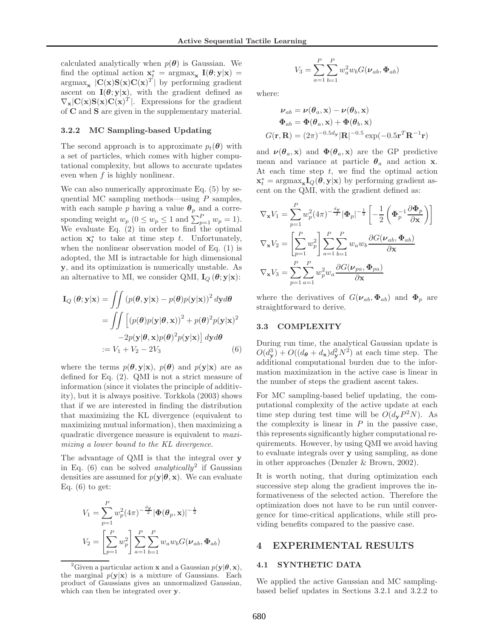calculated analytically when  $p(\theta)$  is Gaussian. We find the optimal action  $\mathbf{x}_t^* = \arg \max_{\mathbf{x}} \mathbf{I}(\boldsymbol{\theta}; \mathbf{y} | \mathbf{x}) =$  $\arg \max_{\mathbf{x}} |C(\mathbf{x})S(\mathbf{x})C(\mathbf{x})^T|$  by performing gradient ascent on  $I(\theta; y|x)$ , with the gradient defined as  $\nabla_{\mathbf{x}}|\mathbf{C}(\mathbf{x})\mathbf{S}(\mathbf{x})\mathbf{C}(\mathbf{x})^T|$ . Expressions for the gradient of C and S are given in the supplementary material.

#### 3.2.2 MC Sampling-based Updating

The second approach is to approximate  $p_t(\theta)$  with a set of particles, which comes with higher computational complexity, but allows to accurate updates even when f is highly nonlinear.

We can also numerically approximate Eq. (5) by sequential MC sampling methods—using  $P$  samples, with each sample p having a value  $\theta_p$  and a corresponding weight  $w_p$   $(0 \le w_p \le 1$  and  $\sum_{p=1}^P w_p = 1$ ). We evaluate Eq. (2) in order to find the optimal action  $\mathbf{x}_t^*$  to take at time step t. Unfortunately, when the nonlinear observation model of Eq. (1) is adopted, the MI is intractable for high dimensional y, and its optimization is numerically unstable. As an alternative to MI, we consider QMI,  $I_Q(\theta; y|x)$ :

$$
\mathbf{I}_{Q}(\boldsymbol{\theta}; \mathbf{y}|\mathbf{x}) = \iint (p(\boldsymbol{\theta}, \mathbf{y}|\mathbf{x}) - p(\boldsymbol{\theta})p(\mathbf{y}|\mathbf{x}))^{2} d\mathbf{y} d\boldsymbol{\theta}
$$

$$
= \iint \left[ (p(\boldsymbol{\theta})p(\mathbf{y}|\boldsymbol{\theta}, \mathbf{x}))^{2} + p(\boldsymbol{\theta})^{2}p(\mathbf{y}|\mathbf{x})^{2} -2p(\mathbf{y}|\boldsymbol{\theta}, \mathbf{x})p(\boldsymbol{\theta})^{2}p(\mathbf{y}|\mathbf{x}) \right] d\mathbf{y} d\boldsymbol{\theta}
$$

$$
:= V_{1} + V_{2} - 2V_{3}
$$
(6)

where the terms  $p(\theta, y|x), p(\theta)$  and  $p(y|x)$  are as defined for Eq. (2). QMI is not a strict measure of information (since it violates the principle of additivity), but it is always positive. Torkkola (2003) shows that if we are interested in finding the distribution that maximizing the KL divergence (equivalent to maximizing mutual information), then maximizing a quadratic divergence measure is equivalent to maximizing a lower bound to the KL divergence.

The advantage of QMI is that the integral over y in Eq.  $(6)$  can be solved *analytically*<sup>2</sup> if Gaussian densities are assumed for  $p(\mathbf{y}|\boldsymbol{\theta}, \mathbf{x})$ . We can evaluate Eq.  $(6)$  to get:

$$
V_1 = \sum_{p=1}^{P} w_p^2 (4\pi)^{-\frac{d_y}{2}} |\Phi(\theta_p, \mathbf{x})|^{-\frac{1}{2}}
$$
  

$$
V_2 = \left[ \sum_{p=1}^{P} w_p^2 \right] \sum_{a=1}^{P} \sum_{b=1}^{P} w_a w_b G(\boldsymbol{\nu}_{ab}, \boldsymbol{\Phi}_{ab})
$$

$$
V_3 = \sum_{a=1}^{P} \sum_{b=1}^{P} w_a^2 w_b G(\nu_{ab}, \Phi_{ab})
$$

where:

$$
\nu_{ab} = \nu(\theta_a, \mathbf{x}) - \nu(\theta_b, \mathbf{x})
$$
  
\n
$$
\Phi_{ab} = \Phi(\theta_a, \mathbf{x}) + \Phi(\theta_b, \mathbf{x})
$$
  
\n
$$
G(\mathbf{r}, \mathbf{R}) = (2\pi)^{-0.5d_{\mathbf{y}}} |\mathbf{R}|^{-0.5} \exp(-0.5\mathbf{r}^T \mathbf{R}^{-1} \mathbf{r})
$$

and  $\nu(\theta_a, \mathbf{x})$  and  $\Phi(\theta_a, \mathbf{x})$  are the GP predictive mean and variance at particle  $\theta_a$  and action x. At each time step  $t$ , we find the optimal action  $\mathbf{x}_{t}^{*} = \mathrm{argmax}_{\mathbf{x}} \mathbf{I}_{Q}(\boldsymbol{\theta}, \mathbf{y}|\mathbf{x})$  by performing gradient ascent on the QMI, with the gradient defined as:

$$
\nabla_{\mathbf{x}} V_1 = \sum_{p=1}^{P} w_p^2 (4\pi)^{-\frac{d_{\mathbf{y}}}{2}} |\Phi_p|^{-\frac{1}{2}} \left[ -\frac{1}{2} \left( \Phi_p^{-1} \frac{\partial \Phi_p}{\partial \mathbf{x}} \right) \right]
$$
  

$$
\nabla_{\mathbf{x}} V_2 = \left[ \sum_{p=1}^{P} w_p^2 \right] \sum_{a=1}^{P} \sum_{b=1}^{P} w_a w_b \frac{\partial G(\boldsymbol{\nu}_{ab}, \boldsymbol{\Phi}_{ab})}{\partial \mathbf{x}}
$$
  

$$
\nabla_{\mathbf{x}} V_3 = \sum_{p=1}^{P} \sum_{a=1}^{P} w_p^2 w_a \frac{\partial G(\boldsymbol{\nu}_{pa}, \boldsymbol{\Phi}_{pa})}{\partial \mathbf{x}}
$$

where the derivatives of  $G(\nu_{ab}, \Phi_{ab})$  and  $\Phi_p$  are straightforward to derive.

#### 3.3 COMPLEXITY

During run time, the analytical Gaussian update is  $O(d^3_{\mathbf{y}}) + O((d_{\theta} + d_{\mathbf{x}})d^2_{\mathbf{y}}N^2)$  at each time step. The additional computational burden due to the information maximization in the active case is linear in the number of steps the gradient ascent takes.

For MC sampling-based belief updating, the computational complexity of the active update at each time step during test time will be  $O(d_{\mathbf{y}}P^2N)$ . As the complexity is linear in  $P$  in the passive case, this represents significantly higher computational requirements. However, by using QMI we avoid having to evaluate integrals over y using sampling, as done in other approaches (Denzler & Brown, 2002).

It is worth noting, that during optimization each successive step along the gradient improves the informativeness of the selected action. Therefore the optimization does not have to be run until convergence for time-critical applications, while still providing benefits compared to the passive case.

### 4 EXPERIMENTAL RESULTS

#### 4.1 SYNTHETIC DATA

We applied the active Gaussian and MC samplingbased belief updates in Sections 3.2.1 and 3.2.2 to

<sup>&</sup>lt;sup>2</sup>Given a particular action **x** and a Gaussian  $p(\mathbf{y}|\boldsymbol{\theta}, \mathbf{x})$ , the marginal  $p(\mathbf{y}|\mathbf{x})$  is a mixture of Gaussians. Each product of Gaussians gives an unnormalized Gaussian, which can then be integrated over y.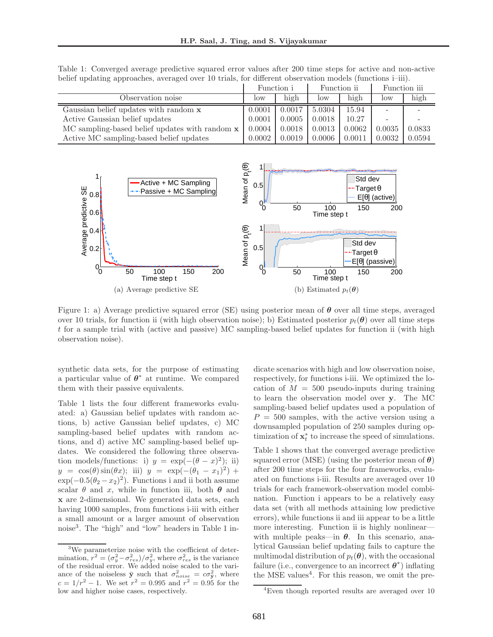Table 1: Converged average predictive squared error values after 200 time steps for active and non-active belief updating approaches, averaged over 10 trials, for different observation models (functions i–iii).

|                                                | Function i |        | Function ii |        | Function iii |        |
|------------------------------------------------|------------|--------|-------------|--------|--------------|--------|
| Observation noise                              | low        | high   | low         | high   | low          | high   |
| Gaussian belief updates with random <b>x</b>   | 0.0001     | 0.0017 | 5.0304      | 15.94  |              |        |
| Active Gaussian belief updates                 | 0.0001     | 0.0005 | 0.0018      | 10.27  |              |        |
| MC sampling-based belief updates with random x | 0.0004     | 0.0018 | 0.0013      | 0.0062 | 0.0035       | 0.0833 |
| Active MC sampling-based belief updates        | 0.0002     | 0.0019 | 0.0006      | 0.0011 | 0.0032       | 0.0594 |



Figure 1: a) Average predictive squared error (SE) using posterior mean of  $\theta$  over all time steps, averaged over 10 trials, for function ii (with high observation noise); b) Estimated posterior  $p_t(\theta)$  over all time steps t for a sample trial with (active and passive) MC sampling-based belief updates for function ii (with high observation noise).

synthetic data sets, for the purpose of estimating a particular value of  $\theta^*$  at runtime. We compared them with their passive equivalents.

Table 1 lists the four different frameworks evaluated: a) Gaussian belief updates with random actions, b) active Gaussian belief updates, c) MC sampling-based belief updates with random actions, and d) active MC sampling-based belief updates. We considered the following three observation models/functions: i)  $y = \exp(-(\theta - x)^2)$ ; ii)  $y = \cos(\theta)\sin(\theta x);$  iii)  $y = \exp(-(\theta_1 - x_1)^2) +$  $\exp(-0.5(\theta_2 - x_2)^2)$ . Functions i and ii both assume scalar  $\theta$  and x, while in function iii, both  $\theta$  and x are 2-dimensional. We generated data sets, each having 1000 samples, from functions i-iii with either a small amount or a larger amount of observation noise<sup>3</sup> . The "high" and "low" headers in Table 1 indicate scenarios with high and low observation noise, respectively, for functions i-iii. We optimized the location of  $M = 500$  pseudo-inputs during training to learn the observation model over y. The MC sampling-based belief updates used a population of  $P = 500$  samples, with the active version using a downsampled population of 250 samples during optimization of  $\mathbf{x}_t^*$  to increase the speed of simulations.

Table 1 shows that the converged average predictive squared error (MSE) (using the posterior mean of  $\theta$ ) after 200 time steps for the four frameworks, evaluated on functions i-iii. Results are averaged over 10 trials for each framework-observation model combination. Function i appears to be a relatively easy data set (with all methods attaining low predictive errors), while functions ii and iii appear to be a little more interesting. Function ii is highly nonlinear with multiple peaks—in  $\theta$ . In this scenario, analytical Gaussian belief updating fails to capture the multimodal distribution of  $p_t(\theta)$ , with the occasional failure (i.e., convergence to an incorrect  $\boldsymbol{\theta}^*$ ) inflating the MSE values<sup>4</sup>. For this reason, we omit the pre-

<sup>&</sup>lt;sup>3</sup>We parameterize noise with the coefficient of determination,  $r^2 = (\sigma_y^2 - \sigma_{res}^2)/\sigma_y^2$ , where  $\sigma_{res}^2$  is the variance of the residual error. We added noise scaled to the variance of the noiseless  $\bar{y}$  such that  $\sigma_{noise}^2 = c\sigma_{\bar{y}}^2$ , where  $c = 1/r^2 - 1$ . We set  $r^2 = 0.995$  and  $r^2 = 0.95$  for the low and higher noise cases, respectively.

<sup>&</sup>lt;sup>4</sup>Even though reported results are averaged over 10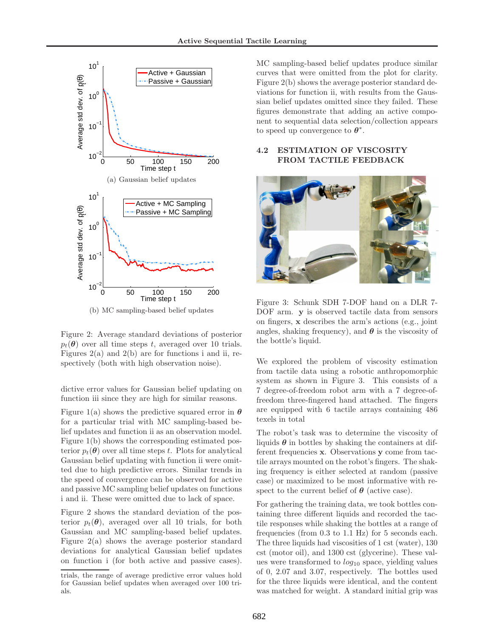

(b) MC sampling-based belief updates

Figure 2: Average standard deviations of posterior  $p_t(\theta)$  over all time steps t, averaged over 10 trials. Figures  $2(a)$  and  $2(b)$  are for functions i and ii, respectively (both with high observation noise).

dictive error values for Gaussian belief updating on function iii since they are high for similar reasons.

Figure 1(a) shows the predictive squared error in  $\theta$ for a particular trial with MC sampling-based belief updates and function ii as an observation model. Figure 1(b) shows the corresponding estimated posterior  $p_t(\theta)$  over all time steps t. Plots for analytical Gaussian belief updating with function ii were omitted due to high predictive errors. Similar trends in the speed of convergence can be observed for active and passive MC sampling belief updates on functions i and ii. These were omitted due to lack of space.

Figure 2 shows the standard deviation of the posterior  $p_t(\theta)$ , averaged over all 10 trials, for both Gaussian and MC sampling-based belief updates. Figure 2(a) shows the average posterior standard deviations for analytical Gaussian belief updates on function i (for both active and passive cases). MC sampling-based belief updates produce similar curves that were omitted from the plot for clarity. Figure 2(b) shows the average posterior standard deviations for function ii, with results from the Gaussian belief updates omitted since they failed. These figures demonstrate that adding an active component to sequential data selection/collection appears to speed up convergence to  $\boldsymbol{\theta}^*$ .

## 4.2 ESTIMATION OF VISCOSITY FROM TACTILE FEEDBACK



Figure 3: Schunk SDH 7-DOF hand on a DLR 7- DOF arm. **y** is observed tactile data from sensors on fingers, x describes the arm's actions (e.g., joint angles, shaking frequency), and  $\theta$  is the viscosity of the bottle's liquid.

We explored the problem of viscosity estimation from tactile data using a robotic anthropomorphic system as shown in Figure 3. This consists of a 7 degree-of-freedom robot arm with a 7 degree-offreedom three-fingered hand attached. The fingers are equipped with 6 tactile arrays containing 486 texels in total

The robot's task was to determine the viscosity of liquids  $\theta$  in bottles by shaking the containers at different frequencies x. Observations y come from tactile arrays mounted on the robot's fingers. The shaking frequency is either selected at random (passive case) or maximized to be most informative with respect to the current belief of  $\theta$  (active case).

For gathering the training data, we took bottles containing three different liquids and recorded the tactile responses while shaking the bottles at a range of frequencies (from 0.3 to 1.1 Hz) for 5 seconds each. The three liquids had viscosities of 1 cst (water), 130 cst (motor oil), and 1300 cst (glycerine). These values were transformed to  $log_{10}$  space, yielding values of 0, 2.07 and 3.07, respectively. The bottles used for the three liquids were identical, and the content was matched for weight. A standard initial grip was

trials, the range of average predictive error values hold for Gaussian belief updates when averaged over 100 trials.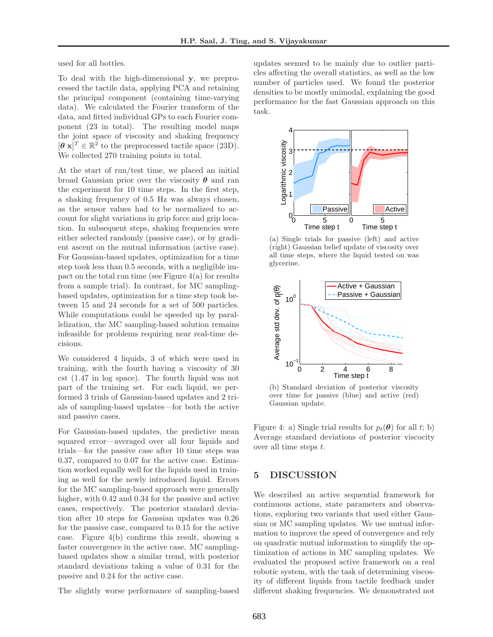used for all bottles.

To deal with the high-dimensional y, we preprocessed the tactile data, applying PCA and retaining the principal component (containing time-varying data). We calculated the Fourier transform of the data, and fitted individual GPs to each Fourier component (23 in total). The resulting model maps the joint space of viscosity and shaking frequency  $[\boldsymbol{\theta} \mathbf{x}]^T \in \mathbb{R}^2$  to the preprocessed tactile space (23D). We collected 270 training points in total.

At the start of run/test time, we placed an initial broad Gaussian prior over the viscosity  $\theta$  and ran the experiment for 10 time steps. In the first step, a shaking frequency of 0.5 Hz was always chosen, as the sensor values had to be normalized to account for slight variations in grip force and grip location. In subsequent steps, shaking frequencies were either selected randomly (passive case), or by gradient ascent on the mutual information (active case). For Gaussian-based updates, optimization for a time step took less than 0.5 seconds, with a negligible impact on the total run time (see Figure  $4(a)$ ) for results from a sample trial). In contrast, for MC samplingbased updates, optimization for a time step took between 15 and 24 seconds for a set of 500 particles. While computations could be speeded up by parallelization, the MC sampling-based solution remains infeasible for problems requiring near real-time decisions.

We considered 4 liquids, 3 of which were used in training, with the fourth having a viscosity of 30 cst (1.47 in log space). The fourth liquid was not part of the training set. For each liquid, we performed 3 trials of Gaussian-based updates and 2 trials of sampling-based updates—for both the active and passive cases.

For Gaussian-based updates, the predictive mean squared error—averaged over all four liquids and trials—for the passive case after 10 time steps was 0.37, compared to 0.07 for the active case. Estimation worked equally well for the liquids used in training as well for the newly introduced liquid. Errors for the MC sampling-based approach were generally higher, with 0.42 and 0.34 for the passive and active cases, respectively. The posterior standard deviation after 10 steps for Gaussian updates was 0.26 for the passive case, compared to 0.15 for the active case. Figure 4(b) confirms this result, showing a faster convergence in the active case. MC samplingbased updates show a similar trend, with posterior standard deviations taking a value of 0.31 for the passive and 0.24 for the active case.

The slightly worse performance of sampling-based

updates seemed to be mainly due to outlier particles affecting the overall statistics, as well as the low number of particles used. We found the posterior densities to be mostly unimodal, explaining the good performance for the fast Gaussian approach on this task.



(a) Single trials for passive (left) and active (right) Gaussian belief update of viscosity over all time steps, where the liquid tested on was glycerine.



(b) Standard deviation of posterior viscosity over time for passive (blue) and active (red) Gaussian update.

Figure 4: a) Single trial results for  $p_t(\theta)$  for all t; b) Average standard deviations of posterior viscocity over all time steps t.

# 5 DISCUSSION

We described an active sequential framework for continuous actions, state parameters and observations, exploring two variants that used either Gaussian or MC sampling updates. We use mutual information to improve the speed of convergence and rely on quadratic mutual information to simplify the optimization of actions in MC sampling updates. We evaluated the proposed active framework on a real robotic system, with the task of determining viscosity of different liquids from tactile feedback under different shaking frequencies. We demonstrated not